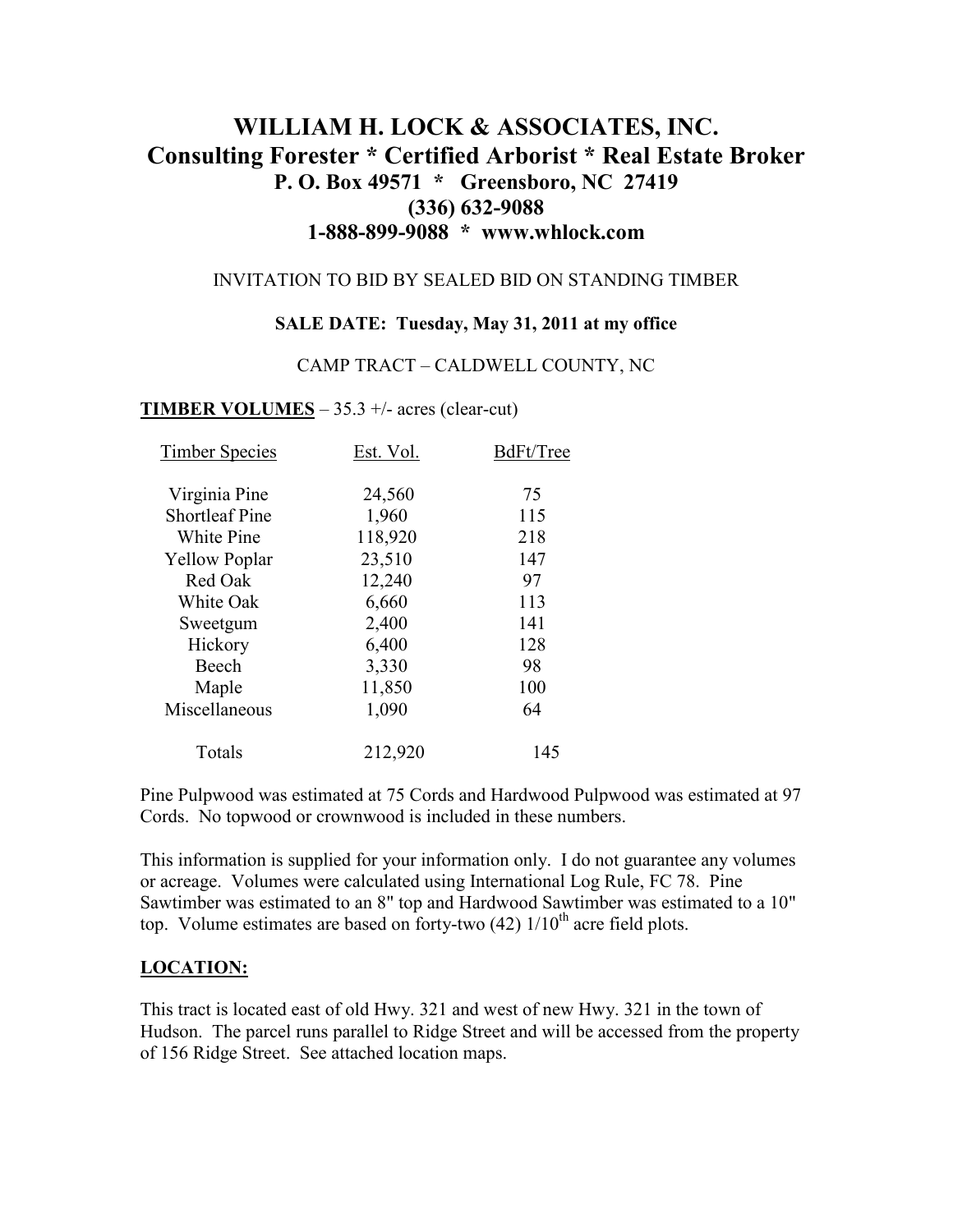# **WILLIAM H. LOCK & ASSOCIATES, INC. Consulting Forester \* Certified Arborist \* Real Estate Broker P. O. Box 49571 \* Greensboro, NC 27419 (336) 632-9088 1-888-899-9088 \* www.whlock.com**

#### INVITATION TO BID BY SEALED BID ON STANDING TIMBER

#### **SALE DATE: Tuesday, May 31, 2011 at my office**

#### CAMP TRACT – CALDWELL COUNTY, NC

#### **TIMBER VOLUMES** – 35.3 +/- acres (clear-cut)

| <b>Timber Species</b> | Est. Vol. | BdFt/Tree |
|-----------------------|-----------|-----------|
| Virginia Pine         | 24,560    | 75        |
| <b>Shortleaf Pine</b> | 1,960     | 115       |
| White Pine            | 118,920   | 218       |
| <b>Yellow Poplar</b>  | 23,510    | 147       |
| Red Oak               | 12,240    | 97        |
| White Oak             | 6,660     | 113       |
| Sweetgum              | 2,400     | 141       |
| Hickory               | 6,400     | 128       |
| Beech                 | 3,330     | 98        |
| Maple                 | 11,850    | 100       |
| Miscellaneous         | 1,090     | 64        |
| Totals                | 212,920   | 145       |

Pine Pulpwood was estimated at 75 Cords and Hardwood Pulpwood was estimated at 97 Cords. No topwood or crownwood is included in these numbers.

This information is supplied for your information only. I do not guarantee any volumes or acreage. Volumes were calculated using International Log Rule, FC 78. Pine Sawtimber was estimated to an 8" top and Hardwood Sawtimber was estimated to a 10" top. Volume estimates are based on forty-two  $(42)$  1/10<sup>th</sup> acre field plots.

#### **LOCATION:**

This tract is located east of old Hwy. 321 and west of new Hwy. 321 in the town of Hudson. The parcel runs parallel to Ridge Street and will be accessed from the property of 156 Ridge Street. See attached location maps.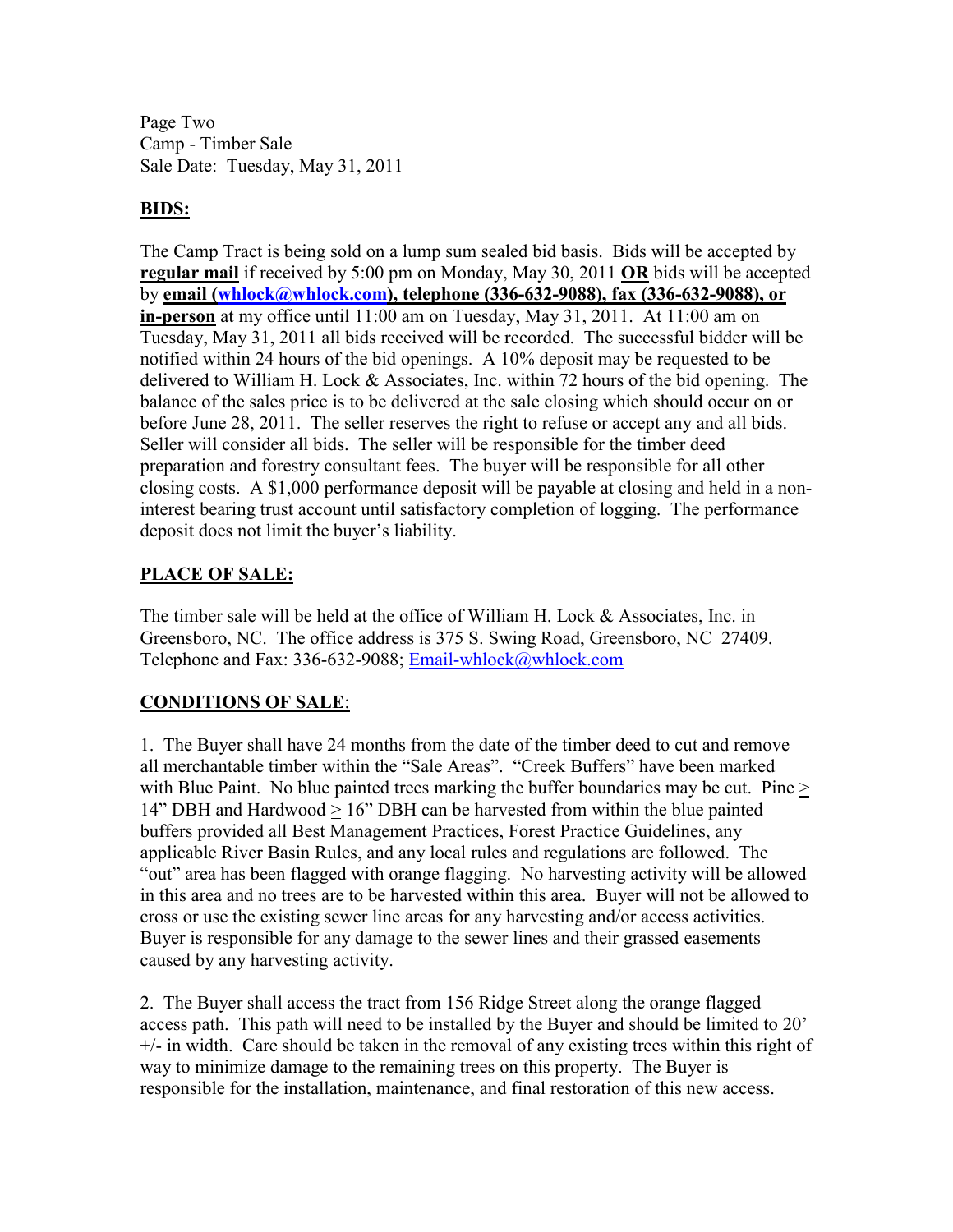Page Two Camp - Timber Sale Sale Date: Tuesday, May 31, 2011

### **BIDS:**

The Camp Tract is being sold on a lump sum sealed bid basis. Bids will be accepted by **regular mail** if received by 5:00 pm on Monday, May 30, 2011 **OR** bids will be accepted by **email (whlock@whlock.com), telephone (336-632-9088), fax (336-632-9088), or in-person** at my office until 11:00 am on Tuesday, May 31, 2011. At 11:00 am on Tuesday, May 31, 2011 all bids received will be recorded. The successful bidder will be notified within 24 hours of the bid openings. A 10% deposit may be requested to be delivered to William H. Lock & Associates, Inc. within 72 hours of the bid opening. The balance of the sales price is to be delivered at the sale closing which should occur on or before June 28, 2011. The seller reserves the right to refuse or accept any and all bids. Seller will consider all bids. The seller will be responsible for the timber deed preparation and forestry consultant fees. The buyer will be responsible for all other closing costs. A \$1,000 performance deposit will be payable at closing and held in a noninterest bearing trust account until satisfactory completion of logging. The performance deposit does not limit the buyer's liability.

## **PLACE OF SALE:**

The timber sale will be held at the office of William H. Lock & Associates, Inc. in Greensboro, NC. The office address is 375 S. Swing Road, Greensboro, NC 27409. Telephone and Fax: 336-632-9088; Email-whlock@whlock.com

## **CONDITIONS OF SALE**:

1. The Buyer shall have 24 months from the date of the timber deed to cut and remove all merchantable timber within the "Sale Areas". "Creek Buffers" have been marked with Blue Paint. No blue painted trees marking the buffer boundaries may be cut. Pine  $\geq$ 14" DBH and Hardwood > 16" DBH can be harvested from within the blue painted buffers provided all Best Management Practices, Forest Practice Guidelines, any applicable River Basin Rules, and any local rules and regulations are followed. The "out" area has been flagged with orange flagging. No harvesting activity will be allowed in this area and no trees are to be harvested within this area. Buyer will not be allowed to cross or use the existing sewer line areas for any harvesting and/or access activities. Buyer is responsible for any damage to the sewer lines and their grassed easements caused by any harvesting activity.

2. The Buyer shall access the tract from 156 Ridge Street along the orange flagged access path. This path will need to be installed by the Buyer and should be limited to 20'  $+/-$  in width. Care should be taken in the removal of any existing trees within this right of way to minimize damage to the remaining trees on this property. The Buyer is responsible for the installation, maintenance, and final restoration of this new access.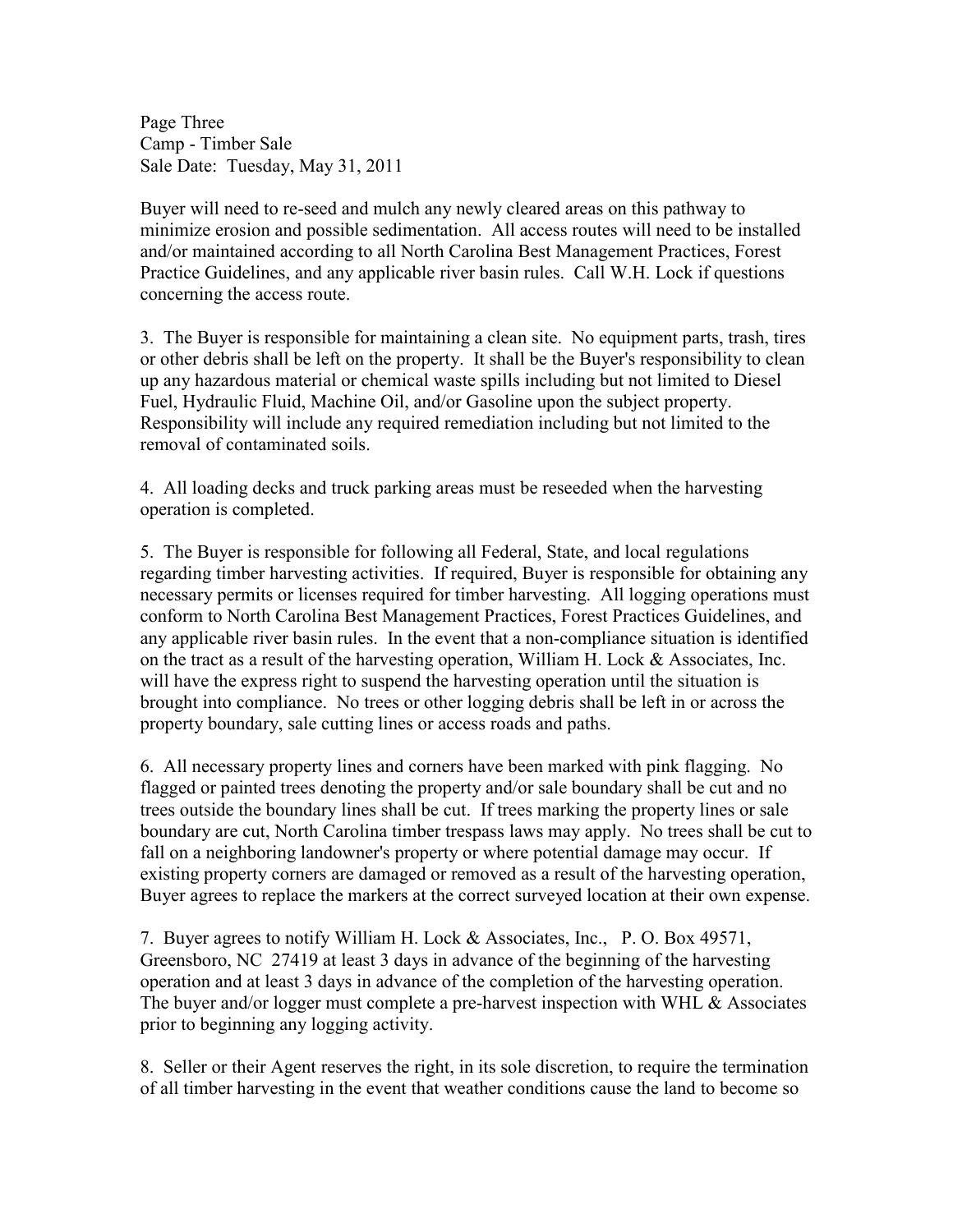Page Three Camp - Timber Sale Sale Date: Tuesday, May 31, 2011

Buyer will need to re-seed and mulch any newly cleared areas on this pathway to minimize erosion and possible sedimentation. All access routes will need to be installed and/or maintained according to all North Carolina Best Management Practices, Forest Practice Guidelines, and any applicable river basin rules. Call W.H. Lock if questions concerning the access route.

3. The Buyer is responsible for maintaining a clean site. No equipment parts, trash, tires or other debris shall be left on the property. It shall be the Buyer's responsibility to clean up any hazardous material or chemical waste spills including but not limited to Diesel Fuel, Hydraulic Fluid, Machine Oil, and/or Gasoline upon the subject property. Responsibility will include any required remediation including but not limited to the removal of contaminated soils.

4. All loading decks and truck parking areas must be reseeded when the harvesting operation is completed.

5. The Buyer is responsible for following all Federal, State, and local regulations regarding timber harvesting activities. If required, Buyer is responsible for obtaining any necessary permits or licenses required for timber harvesting. All logging operations must conform to North Carolina Best Management Practices, Forest Practices Guidelines, and any applicable river basin rules. In the event that a non-compliance situation is identified on the tract as a result of the harvesting operation, William H. Lock  $&$  Associates, Inc. will have the express right to suspend the harvesting operation until the situation is brought into compliance. No trees or other logging debris shall be left in or across the property boundary, sale cutting lines or access roads and paths.

6. All necessary property lines and corners have been marked with pink flagging. No flagged or painted trees denoting the property and/or sale boundary shall be cut and no trees outside the boundary lines shall be cut. If trees marking the property lines or sale boundary are cut, North Carolina timber trespass laws may apply. No trees shall be cut to fall on a neighboring landowner's property or where potential damage may occur. If existing property corners are damaged or removed as a result of the harvesting operation, Buyer agrees to replace the markers at the correct surveyed location at their own expense.

7. Buyer agrees to notify William H. Lock & Associates, Inc., P. O. Box 49571, Greensboro, NC 27419 at least 3 days in advance of the beginning of the harvesting operation and at least 3 days in advance of the completion of the harvesting operation. The buyer and/or logger must complete a pre-harvest inspection with WHL & Associates prior to beginning any logging activity.

8. Seller or their Agent reserves the right, in its sole discretion, to require the termination of all timber harvesting in the event that weather conditions cause the land to become so